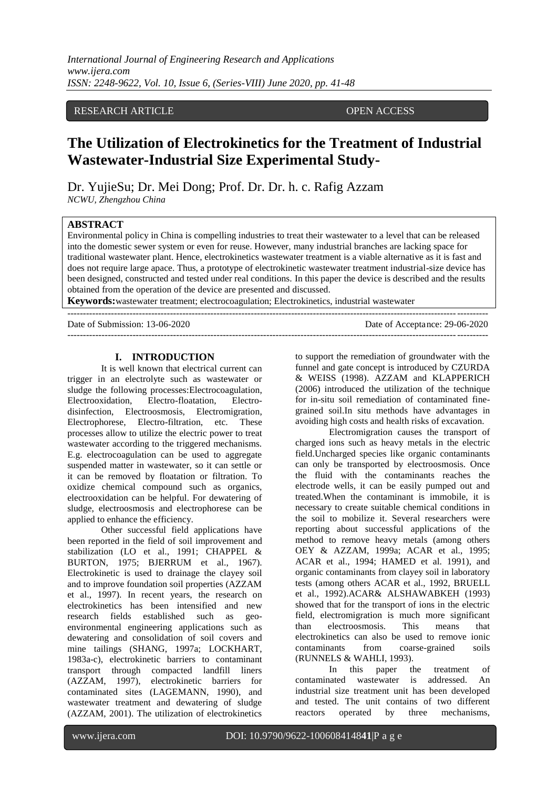#### RESEARCH ARTICLE OPEN ACCESS

# **The Utilization of Electrokinetics for the Treatment of Industrial Wastewater-Industrial Size Experimental Study-**

Dr. YujieSu; Dr. Mei Dong; Prof. Dr. Dr. h. c. Rafig Azzam *NCWU, Zhengzhou China*

#### **ABSTRACT**

Environmental policy in China is compelling industries to treat their wastewater to a level that can be released into the domestic sewer system or even for reuse. However, many industrial branches are lacking space for traditional wastewater plant. Hence, electrokinetics wastewater treatment is a viable alternative as it is fast and does not require large apace. Thus, a prototype of electrokinetic wastewater treatment industrial-size device has been designed, constructed and tested under real conditions. In this paper the device is described and the results obtained from the operation of the device are presented and discussed.

**Keywords:**wastewater treatment; electrocoagulation; Electrokinetics, industrial wastewater

| Date of Submission: 13-06-2020 | Date of Acceptance: 29-06-2020 |
|--------------------------------|--------------------------------|
|                                |                                |

#### **I. INTRODUCTION**

It is well known that electrical current can trigger in an electrolyte such as wastewater or sludge the following processes:Electrocoagulation, Electrooxidation, Electro-floatation, Electrodisinfection, Electroosmosis, Electromigration, Electrophorese, Electro-filtration, etc. These processes allow to utilize the electric power to treat wastewater according to the triggered mechanisms. E.g. electrocoagulation can be used to aggregate suspended matter in wastewater, so it can settle or it can be removed by floatation or filtration. To oxidize chemical compound such as organics, electrooxidation can be helpful. For dewatering of sludge, electroosmosis and electrophorese can be applied to enhance the efficiency.

Other successful field applications have been reported in the field of soil improvement and stabilization (LO et al., 1991; CHAPPEL & BURTON, 1975; BJERRUM et al., 1967). Electrokinetic is used to drainage the clayey soil and to improve foundation soil properties (AZZAM et al., 1997). In recent years, the research on electrokinetics has been intensified and new research fields established such as geoenvironmental engineering applications such as dewatering and consolidation of soil covers and mine tailings (SHANG, 1997a; LOCKHART, 1983a-c), electrokinetic barriers to contaminant transport through compacted landfill liners (AZZAM, 1997), electrokinetic barriers for contaminated sites (LAGEMANN, 1990), and wastewater treatment and dewatering of sludge (AZZAM, 2001). The utilization of electrokinetics

to support the remediation of groundwater with the funnel and gate concept is introduced by CZURDA & WEISS (1998). AZZAM and KLAPPERICH (2006) introduced the utilization of the technique for in-situ soil remediation of contaminated finegrained soil.In situ methods have advantages in avoiding high costs and health risks of excavation.

Electromigration causes the transport of charged ions such as heavy metals in the electric field.Uncharged species like organic contaminants can only be transported by electroosmosis. Once the fluid with the contaminants reaches the electrode wells, it can be easily pumped out and treated.When the contaminant is immobile, it is necessary to create suitable chemical conditions in the soil to mobilize it. Several researchers were reporting about successful applications of the method to remove heavy metals (among others OEY & AZZAM, 1999a; ACAR et al., 1995; ACAR et al., 1994; HAMED et al. 1991), and organic contaminants from clayey soil in laboratory tests (among others ACAR et al., 1992, BRUELL et al., 1992).ACAR& ALSHAWABKEH (1993) showed that for the transport of ions in the electric field, electromigration is much more significant than electroosmosis. This means that electrokinetics can also be used to remove ionic contaminants from coarse-grained soils (RUNNELS & WAHLI, 1993).

In this paper the treatment of contaminated wastewater is addressed. An industrial size treatment unit has been developed and tested. The unit contains of two different reactors operated by three mechanisms,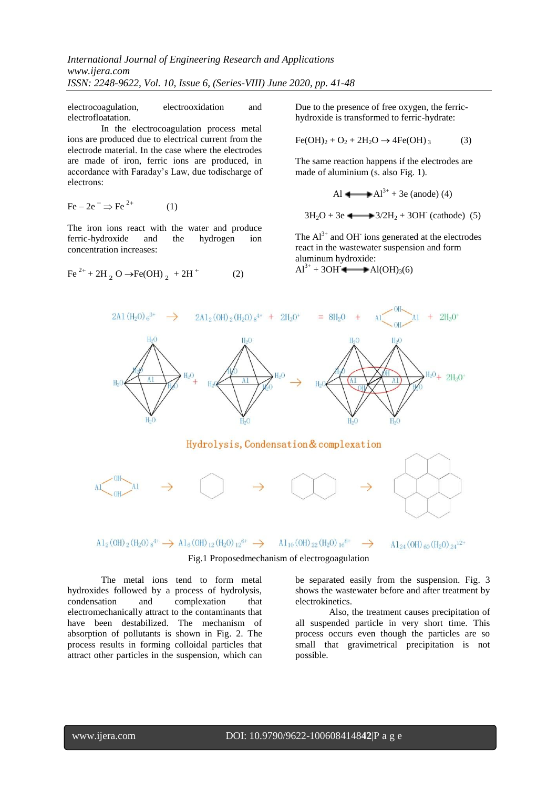*International Journal of Engineering Research and Applications www.ijera.com ISSN: 2248-9622, Vol. 10, Issue 6, (Series-VIII) June 2020, pp. 41-48*

 $(2)$ 

electrocoagulation, electrooxidation and electrofloatation.

In the electrocoagulation process metal ions are produced due to electrical current from the electrode material. In the case where the electrodes are made of iron, ferric ions are produced, in accordance with Faraday's Law, due todischarge of electrons:

$$
\text{Fe} - 2\text{e}^- \Rightarrow \text{Fe}^{2+} \tag{1}
$$

The iron ions react with the water and produce ferric-hydroxide and the hydrogen ion concentration increases:

Fe<sup>2+</sup> + 2H<sub>2</sub> O  $\rightarrow$  Fe(OH)<sub>2</sub> + 2H<sup>+</sup> (2)

Due to the presence of free oxygen, the ferrichydroxide is transformed to ferric-hydrate:

$$
\text{Fe(OH)}_2 + \text{O}_2 + 2\text{H}_2\text{O} \rightarrow 4\text{Fe(OH)}_3 \tag{3}
$$

The same reaction happens if the electrodes are made of aluminium (s. also Fig. 1).

Al 
$$
\longrightarrow
$$
 Al<sup>3+</sup> + 3e (anode) (4)

$$
3H_2O + 3e
$$
  $\longrightarrow 3/2H_2 + 3OH$  (cathode) (5)

The  $Al^{3+}$  and OH<sup>-</sup> ions generated at the electrodes react in the wastewater suspension and form aluminum hydroxide:

 $Al^{3+} + 3OH^-$  Al(OH)<sub>3</sub>(6)



Fig.1 Proposedmechanism of electrogoagulation

The metal ions tend to form metal hydroxides followed by a process of hydrolysis, condensation and complexation that electromechanically attract to the contaminants that have been destabilized. The mechanism of absorption of pollutants is shown in Fig. 2. The process results in forming colloidal particles that attract other particles in the suspension, which can be separated easily from the suspension. Fig. 3 shows the wastewater before and after treatment by electrokinetics.

Also, the treatment causes precipitation of all suspended particle in very short time. This process occurs even though the particles are so small that gravimetrical precipitation is not possible.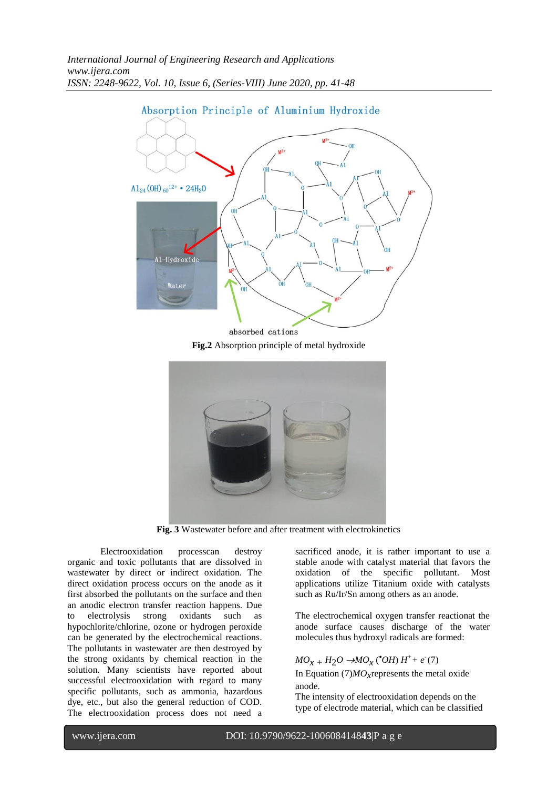

**Fig.2** Absorption principle of metal hydroxide



**Fig. 3** Wastewater before and after treatment with electrokinetics

Electrooxidation processcan destroy organic and toxic pollutants that are dissolved in wastewater by direct or indirect oxidation. The direct oxidation process occurs on the anode as it first absorbed the pollutants on the surface and then an anodic electron transfer reaction happens. Due to electrolysis strong oxidants such as hypochlorite/chlorine, ozone or hydrogen peroxide can be generated by the electrochemical reactions. The pollutants in wastewater are then destroyed by the strong oxidants by chemical reaction in the solution. Many scientists have reported about successful electrooxidation with regard to many specific pollutants, such as ammonia, hazardous dye, etc., but also the general reduction of COD. The electrooxidation process does not need a sacrificed anode, it is rather important to use a stable anode with catalyst material that favors the oxidation of the specific pollutant. Most applications utilize Titanium oxide with catalysts such as Ru/Ir/Sn among others as an anode.

The electrochemical oxygen transfer reactionat the anode surface causes discharge of the water molecules thus hydroxyl radicals are formed:

## $MO_{X} + H_2O \rightarrow MO_X$  ( $^{\bullet}OH$ )  $H^+ + e^-(7)$

In Equation (7)*MOx*represents the metal oxide anode.

The intensity of electrooxidation depends on the type of electrode material, which can be classified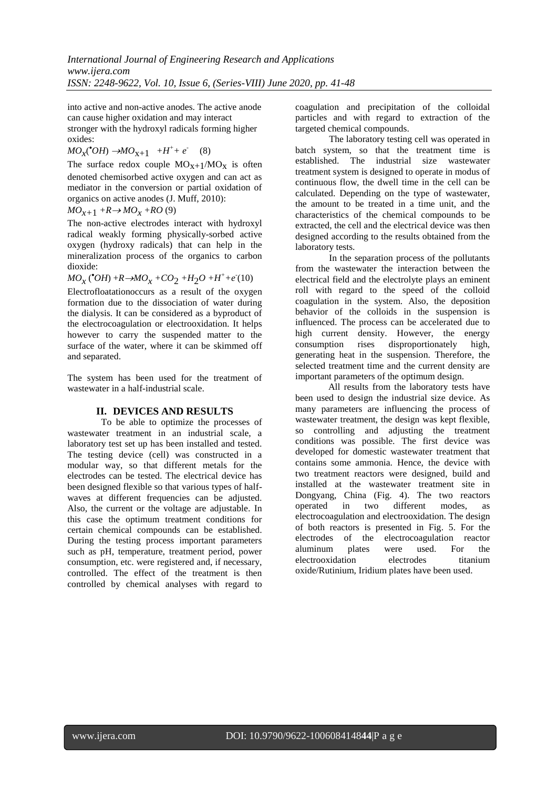into active and non-active anodes. The active anode can cause higher oxidation and may interact stronger with the hydroxyl radicals forming higher oxides:

 $MO_{X}(^{\bullet}OH) \rightarrow MO_{X+1} + H^{+} + e^{-}$  (8)

The surface redox couple  $MO_{X+1}/MO_X$  is often denoted chemisorbed active oxygen and can act as mediator in the conversion or partial oxidation of organics on active anodes (J. Muff, 2010):

 $MO_{x+1}$  + $R \rightarrow MO_x$  + $RO$  (9)

The non-active electrodes interact with hydroxyl radical weakly forming physically-sorbed active oxygen (hydroxy radicals) that can help in the mineralization process of the organics to carbon dioxide:

 $MO_{\chi}$  ( $^{\bullet}OH$ ) +*R* $\rightarrow MO_{\chi}$  +*CO*<sub>2</sub> +*H*<sub>2</sub>*O* +*H*<sup>+</sup>+e<sup></sup>(10) Electrofloatationoccurs as a result of the oxygen formation due to the dissociation of water during the dialysis. It can be considered as a byproduct of the electrocoagulation or electrooxidation. It helps however to carry the suspended matter to the surface of the water, where it can be skimmed off and separated.

The system has been used for the treatment of wastewater in a half-industrial scale.

### **II. DEVICES AND RESULTS**

To be able to optimize the processes of wastewater treatment in an industrial scale, a laboratory test set up has been installed and tested. The testing device (cell) was constructed in a modular way, so that different metals for the electrodes can be tested. The electrical device has been designed flexible so that various types of halfwaves at different frequencies can be adjusted. Also, the current or the voltage are adjustable. In this case the optimum treatment conditions for certain chemical compounds can be established. During the testing process important parameters such as pH, temperature, treatment period, power consumption, etc. were registered and, if necessary, controlled. The effect of the treatment is then controlled by chemical analyses with regard to

coagulation and precipitation of the colloidal particles and with regard to extraction of the targeted chemical compounds.

The laboratory testing cell was operated in batch system, so that the treatment time is established. The industrial size wastewater treatment system is designed to operate in modus of continuous flow, the dwell time in the cell can be calculated. Depending on the type of wastewater, the amount to be treated in a time unit, and the characteristics of the chemical compounds to be extracted, the cell and the electrical device was then designed according to the results obtained from the laboratory tests.

In the separation process of the pollutants from the wastewater the interaction between the electrical field and the electrolyte plays an eminent roll with regard to the speed of the colloid coagulation in the system. Also, the deposition behavior of the colloids in the suspension is influenced. The process can be accelerated due to high current density. However, the energy consumption rises disproportionately high, generating heat in the suspension. Therefore, the selected treatment time and the current density are important parameters of the optimum design.

All results from the laboratory tests have been used to design the industrial size device. As many parameters are influencing the process of wastewater treatment, the design was kept flexible, so controlling and adjusting the treatment conditions was possible. The first device was developed for domestic wastewater treatment that contains some ammonia. Hence, the device with two treatment reactors were designed, build and installed at the wastewater treatment site in Dongyang, China (Fig. 4). The two reactors operated in two different modes, as electrocoagulation and electrooxidation. The design of both reactors is presented in Fig. 5. For the electrodes of the electrocoagulation reactor aluminum plates were used. For the electrooxidation electrodes titanium oxide/Rutinium, Iridium plates have been used.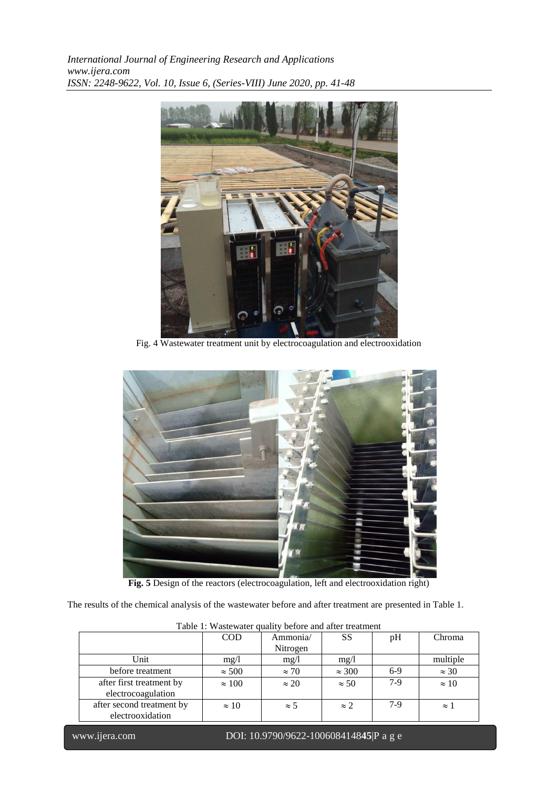*International Journal of Engineering Research and Applications www.ijera.com ISSN: 2248-9622, Vol. 10, Issue 6, (Series-VIII) June 2020, pp. 41-48*



Fig. 4 Wastewater treatment unit by electrocoagulation and electrooxidation



**Fig. 5** Design of the reactors (electrocoagulation, left and electrooxidation right)

The results of the chemical analysis of the wastewater before and after treatment are presented in Table 1.

|                           | <b>COD</b>    | Ammonia/     | <b>SS</b>     | pH    | Chroma              |  |  |
|---------------------------|---------------|--------------|---------------|-------|---------------------|--|--|
|                           |               | Nitrogen     |               |       |                     |  |  |
| Unit                      | mg/1          | mg/1         | mg/l          |       | multiple            |  |  |
| before treatment          | $\approx 500$ | $\approx$ 70 | $\approx 300$ | $6-9$ | $\approx 30$        |  |  |
| after first treatment by  | $\approx 100$ | $\approx 20$ | $\approx$ 50  | $7-9$ | $\approx 10$        |  |  |
| electrocoagulation        |               |              |               |       |                     |  |  |
| after second treatment by | $\approx 10$  | $\approx$ 5  | $\approx$ 2.  | $7-9$ | $\approx$ $\degree$ |  |  |
| electrooxidation          |               |              |               |       |                     |  |  |

Table 1: Wastewater quality before and after treatment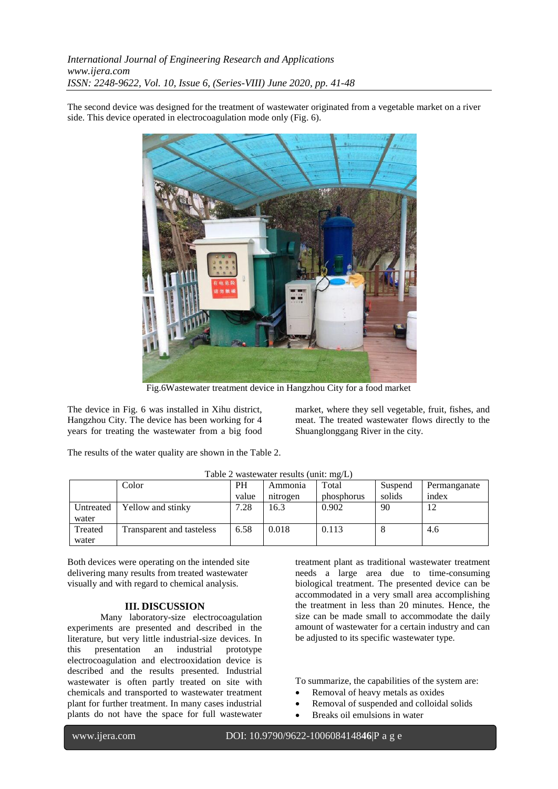The second device was designed for the treatment of wastewater originated from a vegetable market on a river side. This device operated in electrocoagulation mode only (Fig. 6).



Fig.6Wastewater treatment device in Hangzhou City for a food market

The device in Fig. 6 was installed in Xihu district, Hangzhou City. The device has been working for 4 years for treating the wastewater from a big food

market, where they sell vegetable, fruit, fishes, and meat. The treated wastewater flows directly to the Shuanglonggang River in the city.

The results of the water quality are shown in the Table 2.

|                    | Color                     | <b>PH</b> | Ammonia  | Total      | Suspend | Permanganate |
|--------------------|---------------------------|-----------|----------|------------|---------|--------------|
|                    |                           | value     | nitrogen | phosphorus | solids  | index        |
| Untreated<br>water | Yellow and stinky         | 7.28      | 16.3     | 0.902      | 90      | 12           |
| Treated<br>water   | Transparent and tasteless | 6.58      | 0.018    | 0.113      | $\circ$ | 4.6          |

Table 2 wastewater results (unit: mg/L)

Both devices were operating on the intended site delivering many results from treated wastewater visually and with regard to chemical analysis.

#### **III. DISCUSSION**

Many laboratory-size electrocoagulation experiments are presented and described in the literature, but very little industrial-size devices. In this presentation an industrial prototype electrocoagulation and electrooxidation device is described and the results presented. Industrial wastewater is often partly treated on site with chemicals and transported to wastewater treatment plant for further treatment. In many cases industrial plants do not have the space for full wastewater

treatment plant as traditional wastewater treatment needs a large area due to time-consuming biological treatment. The presented device can be accommodated in a very small area accomplishing the treatment in less than 20 minutes. Hence, the size can be made small to accommodate the daily amount of wastewater for a certain industry and can be adjusted to its specific wastewater type.

To summarize, the capabilities of the system are:

- Removal of heavy metals as oxides
- Removal of suspended and colloidal solids
- Breaks oil emulsions in water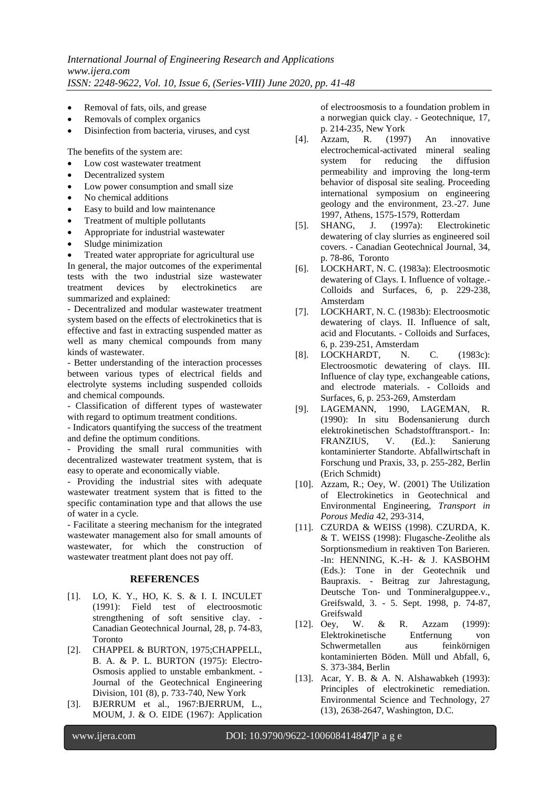- Removal of fats, oils, and grease
- Removals of complex organics
- Disinfection from bacteria, viruses, and cyst

The benefits of the system are:

- Low cost wastewater treatment
- Decentralized system
- Low power consumption and small size
- No chemical additions
- Easy to build and low maintenance
- Treatment of multiple pollutants
- Appropriate for industrial wastewater
- Sludge minimization

 Treated water appropriate for agricultural use In general, the major outcomes of the experimental tests with the two industrial size wastewater treatment devices by electrokinetics are summarized and explained:

- Decentralized and modular wastewater treatment system based on the effects of electrokinetics that is effective and fast in extracting suspended matter as well as many chemical compounds from many kinds of wastewater.

- Better understanding of the interaction processes between various types of electrical fields and electrolyte systems including suspended colloids and chemical compounds.

- Classification of different types of wastewater with regard to optimum treatment conditions.

- Indicators quantifying the success of the treatment and define the optimum conditions.

- Providing the small rural communities with decentralized wastewater treatment system, that is easy to operate and economically viable.

- Providing the industrial sites with adequate wastewater treatment system that is fitted to the specific contamination type and that allows the use of water in a cycle.

- Facilitate a steering mechanism for the integrated wastewater management also for small amounts of wastewater, for which the construction of wastewater treatment plant does not pay off.

#### **REFERENCES**

- [1]. LO, K. Y., HO, K. S. & I. I. INCULET (1991): Field test of electroosmotic strengthening of soft sensitive clay. - Canadian Geotechnical Journal, 28, p. 74-83, Toronto
- [2]. CHAPPEL & BURTON, 1975;CHAPPELL, B. A. & P. L. BURTON (1975): Electro-Osmosis applied to unstable embankment. - Journal of the Geotechnical Engineering Division, 101 (8), p. 733-740, New York
- [3]. BJERRUM et al., 1967:BJERRUM, L., MOUM, J. & O. EIDE (1967): Application

of electroosmosis to a foundation problem in a norwegian quick clay. - Geotechnique, 17, p. 214-235, New York

- [4]. Azzam, R. (1997) An innovative electrochemical-activated mineral sealing system for reducing the diffusion permeability and improving the long-term behavior of disposal site sealing. Proceeding international symposium on engineering geology and the environment, 23.-27. June 1997, Athens, 1575-1579, Rotterdam
- [5]. SHANG, J. (1997a): Electrokinetic dewatering of clay slurries as engineered soil covers. - Canadian Geotechnical Journal, 34, p. 78-86, Toronto
- [6]. LOCKHART, N. C. (1983a): Electroosmotic dewatering of Clays. I. Influence of voltage.- Colloids and Surfaces, 6, p. 229-238, Amsterdam
- [7]. LOCKHART, N. C. (1983b): Electroosmotic dewatering of clays. II. Influence of salt, acid and Flocutants. - Colloids and Surfaces, 6, p. 239-251, Amsterdam
- [8]. LOCKHARDT. N. C. (1983c): Electroosmotic dewatering of clays. III. Influence of clay type, exchangeable cations, and electrode materials. - Colloids and Surfaces, 6, p. 253-269, Amsterdam
- [9]. LAGEMANN, 1990, LAGEMAN, R. (1990): In situ Bodensanierung durch elektrokinetischen Schadstofftransport.- In: FRANZIUS, V. (Ed..): Sanierung kontaminierter Standorte. Abfallwirtschaft in Forschung und Praxis, 33, p. 255-282, Berlin (Erich Schmidt)
- [10]. Azzam, R.; Oey, W. (2001) The Utilization of Electrokinetics in Geotechnical and Environmental Engineering, *Transport in Porous Media* 42, 293-314,
- [11]. CZURDA & WEISS (1998). CZURDA, K. & T. WEISS (1998): Flugasche-Zeolithe als Sorptionsmedium in reaktiven Ton Barieren. -In: HENNING, K.-H- & J. KASBOHM (Eds.): Tone in der Geotechnik und Baupraxis. - Beitrag zur Jahrestagung, Deutsche Ton- und Tonmineralguppee.v., Greifswald, 3. - 5. Sept. 1998, p. 74-87, Greifswald
- [12]. Oey, W. & R. Azzam (1999): Elektrokinetische Entfernung von Schwermetallen aus feinkörnigen kontaminierten Böden. Müll und Abfall, 6, S. 373-384, Berlin
- [13]. Acar, Y. B. & A. N. Alshawabkeh (1993): Principles of electrokinetic remediation. Environmental Science and Technology, 27 (13), 2638-2647, Washington, D.C.